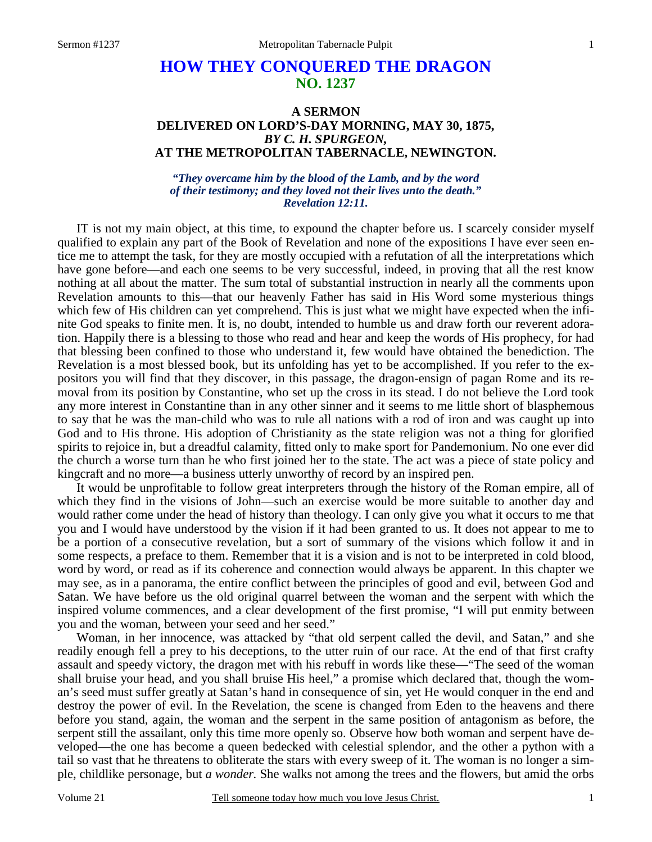# **HOW THEY CONQUERED THE DRAGON NO. 1237**

### **A SERMON DELIVERED ON LORD'S-DAY MORNING, MAY 30, 1875,**  *BY C. H. SPURGEON,*  **AT THE METROPOLITAN TABERNACLE, NEWINGTON.**

#### *"They overcame him by the blood of the Lamb, and by the word of their testimony; and they loved not their lives unto the death." Revelation 12:11.*

IT is not my main object, at this time, to expound the chapter before us. I scarcely consider myself qualified to explain any part of the Book of Revelation and none of the expositions I have ever seen entice me to attempt the task, for they are mostly occupied with a refutation of all the interpretations which have gone before—and each one seems to be very successful, indeed, in proving that all the rest know nothing at all about the matter. The sum total of substantial instruction in nearly all the comments upon Revelation amounts to this—that our heavenly Father has said in His Word some mysterious things which few of His children can yet comprehend. This is just what we might have expected when the infinite God speaks to finite men. It is, no doubt, intended to humble us and draw forth our reverent adoration. Happily there is a blessing to those who read and hear and keep the words of His prophecy, for had that blessing been confined to those who understand it, few would have obtained the benediction. The Revelation is a most blessed book, but its unfolding has yet to be accomplished. If you refer to the expositors you will find that they discover, in this passage, the dragon-ensign of pagan Rome and its removal from its position by Constantine, who set up the cross in its stead. I do not believe the Lord took any more interest in Constantine than in any other sinner and it seems to me little short of blasphemous to say that he was the man-child who was to rule all nations with a rod of iron and was caught up into God and to His throne. His adoption of Christianity as the state religion was not a thing for glorified spirits to rejoice in, but a dreadful calamity, fitted only to make sport for Pandemonium. No one ever did the church a worse turn than he who first joined her to the state. The act was a piece of state policy and kingcraft and no more—a business utterly unworthy of record by an inspired pen.

 It would be unprofitable to follow great interpreters through the history of the Roman empire, all of which they find in the visions of John—such an exercise would be more suitable to another day and would rather come under the head of history than theology. I can only give you what it occurs to me that you and I would have understood by the vision if it had been granted to us. It does not appear to me to be a portion of a consecutive revelation, but a sort of summary of the visions which follow it and in some respects, a preface to them. Remember that it is a vision and is not to be interpreted in cold blood, word by word, or read as if its coherence and connection would always be apparent. In this chapter we may see, as in a panorama, the entire conflict between the principles of good and evil, between God and Satan. We have before us the old original quarrel between the woman and the serpent with which the inspired volume commences, and a clear development of the first promise, "I will put enmity between you and the woman, between your seed and her seed."

 Woman, in her innocence, was attacked by "that old serpent called the devil, and Satan," and she readily enough fell a prey to his deceptions, to the utter ruin of our race. At the end of that first crafty assault and speedy victory, the dragon met with his rebuff in words like these—"The seed of the woman shall bruise your head, and you shall bruise His heel," a promise which declared that, though the woman's seed must suffer greatly at Satan's hand in consequence of sin, yet He would conquer in the end and destroy the power of evil. In the Revelation, the scene is changed from Eden to the heavens and there before you stand, again, the woman and the serpent in the same position of antagonism as before, the serpent still the assailant, only this time more openly so. Observe how both woman and serpent have developed—the one has become a queen bedecked with celestial splendor, and the other a python with a tail so vast that he threatens to obliterate the stars with every sweep of it. The woman is no longer a simple, childlike personage, but *a wonder.* She walks not among the trees and the flowers, but amid the orbs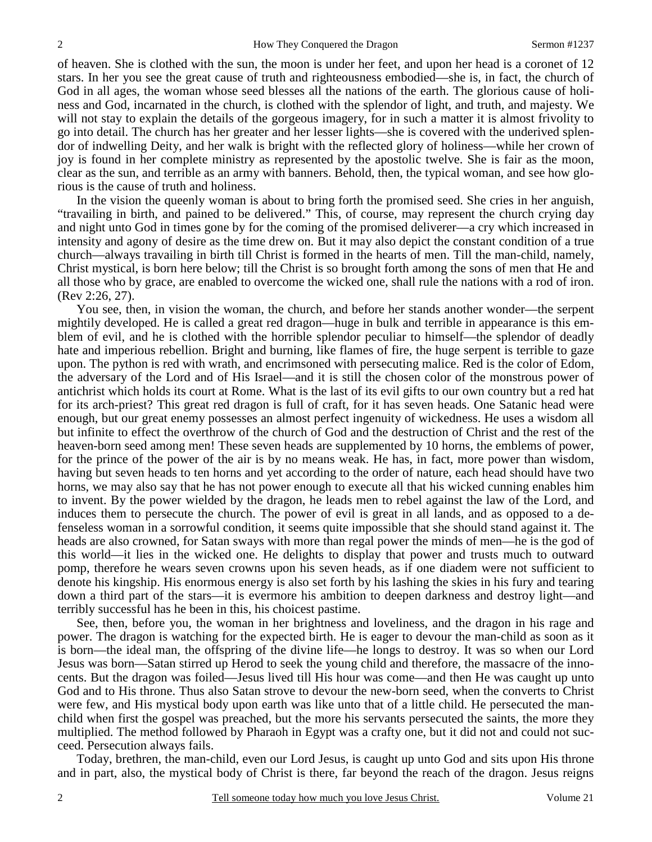of heaven. She is clothed with the sun, the moon is under her feet, and upon her head is a coronet of 12 stars. In her you see the great cause of truth and righteousness embodied—she is, in fact, the church of God in all ages, the woman whose seed blesses all the nations of the earth. The glorious cause of holiness and God, incarnated in the church, is clothed with the splendor of light, and truth, and majesty. We will not stay to explain the details of the gorgeous imagery, for in such a matter it is almost frivolity to go into detail. The church has her greater and her lesser lights—she is covered with the underived splendor of indwelling Deity, and her walk is bright with the reflected glory of holiness—while her crown of joy is found in her complete ministry as represented by the apostolic twelve. She is fair as the moon, clear as the sun, and terrible as an army with banners. Behold, then, the typical woman, and see how glorious is the cause of truth and holiness.

 In the vision the queenly woman is about to bring forth the promised seed. She cries in her anguish, "travailing in birth, and pained to be delivered." This, of course, may represent the church crying day and night unto God in times gone by for the coming of the promised deliverer—a cry which increased in intensity and agony of desire as the time drew on. But it may also depict the constant condition of a true church—always travailing in birth till Christ is formed in the hearts of men. Till the man-child, namely, Christ mystical, is born here below; till the Christ is so brought forth among the sons of men that He and all those who by grace, are enabled to overcome the wicked one, shall rule the nations with a rod of iron. (Rev 2:26, 27).

 You see, then, in vision the woman, the church, and before her stands another wonder—the serpent mightily developed. He is called a great red dragon—huge in bulk and terrible in appearance is this emblem of evil, and he is clothed with the horrible splendor peculiar to himself—the splendor of deadly hate and imperious rebellion. Bright and burning, like flames of fire, the huge serpent is terrible to gaze upon. The python is red with wrath, and encrimsoned with persecuting malice. Red is the color of Edom, the adversary of the Lord and of His Israel—and it is still the chosen color of the monstrous power of antichrist which holds its court at Rome. What is the last of its evil gifts to our own country but a red hat for its arch-priest? This great red dragon is full of craft, for it has seven heads. One Satanic head were enough, but our great enemy possesses an almost perfect ingenuity of wickedness. He uses a wisdom all but infinite to effect the overthrow of the church of God and the destruction of Christ and the rest of the heaven-born seed among men! These seven heads are supplemented by 10 horns, the emblems of power, for the prince of the power of the air is by no means weak. He has, in fact, more power than wisdom, having but seven heads to ten horns and yet according to the order of nature, each head should have two horns, we may also say that he has not power enough to execute all that his wicked cunning enables him to invent. By the power wielded by the dragon, he leads men to rebel against the law of the Lord, and induces them to persecute the church. The power of evil is great in all lands, and as opposed to a defenseless woman in a sorrowful condition, it seems quite impossible that she should stand against it. The heads are also crowned, for Satan sways with more than regal power the minds of men—he is the god of this world—it lies in the wicked one. He delights to display that power and trusts much to outward pomp, therefore he wears seven crowns upon his seven heads, as if one diadem were not sufficient to denote his kingship. His enormous energy is also set forth by his lashing the skies in his fury and tearing down a third part of the stars—it is evermore his ambition to deepen darkness and destroy light—and terribly successful has he been in this, his choicest pastime.

 See, then, before you, the woman in her brightness and loveliness, and the dragon in his rage and power. The dragon is watching for the expected birth. He is eager to devour the man-child as soon as it is born—the ideal man, the offspring of the divine life—he longs to destroy. It was so when our Lord Jesus was born—Satan stirred up Herod to seek the young child and therefore, the massacre of the innocents. But the dragon was foiled—Jesus lived till His hour was come—and then He was caught up unto God and to His throne. Thus also Satan strove to devour the new-born seed, when the converts to Christ were few, and His mystical body upon earth was like unto that of a little child. He persecuted the manchild when first the gospel was preached, but the more his servants persecuted the saints, the more they multiplied. The method followed by Pharaoh in Egypt was a crafty one, but it did not and could not succeed. Persecution always fails.

 Today, brethren, the man-child, even our Lord Jesus, is caught up unto God and sits upon His throne and in part, also, the mystical body of Christ is there, far beyond the reach of the dragon. Jesus reigns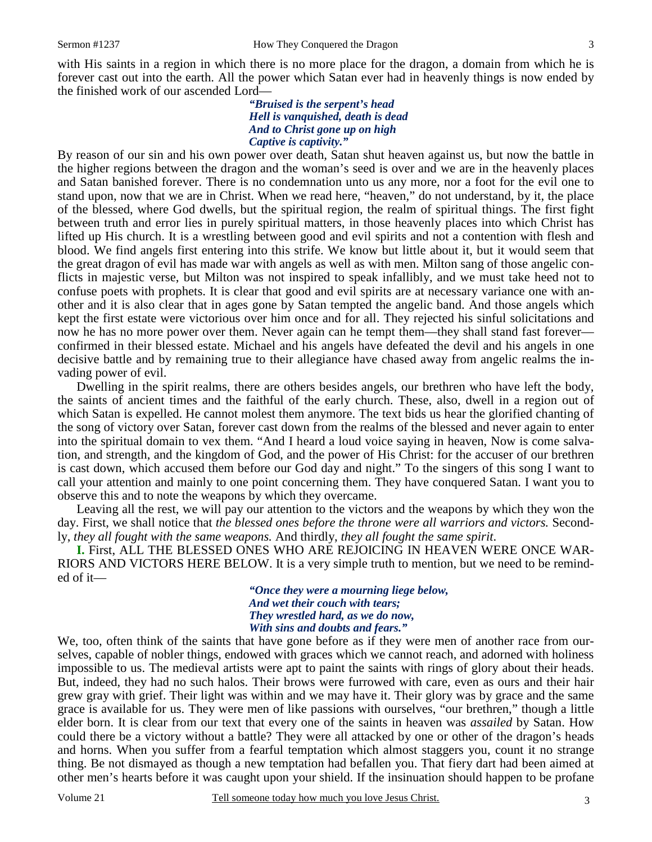with His saints in a region in which there is no more place for the dragon, a domain from which he is forever cast out into the earth. All the power which Satan ever had in heavenly things is now ended by the finished work of our ascended Lord—

#### *"Bruised is the serpent's head Hell is vanquished, death is dead And to Christ gone up on high Captive is captivity."*

By reason of our sin and his own power over death, Satan shut heaven against us, but now the battle in the higher regions between the dragon and the woman's seed is over and we are in the heavenly places and Satan banished forever. There is no condemnation unto us any more, nor a foot for the evil one to stand upon, now that we are in Christ. When we read here, "heaven," do not understand, by it, the place of the blessed, where God dwells, but the spiritual region, the realm of spiritual things. The first fight between truth and error lies in purely spiritual matters, in those heavenly places into which Christ has lifted up His church. It is a wrestling between good and evil spirits and not a contention with flesh and blood. We find angels first entering into this strife. We know but little about it, but it would seem that the great dragon of evil has made war with angels as well as with men. Milton sang of those angelic conflicts in majestic verse, but Milton was not inspired to speak infallibly, and we must take heed not to confuse poets with prophets. It is clear that good and evil spirits are at necessary variance one with another and it is also clear that in ages gone by Satan tempted the angelic band. And those angels which kept the first estate were victorious over him once and for all. They rejected his sinful solicitations and now he has no more power over them. Never again can he tempt them—they shall stand fast forever confirmed in their blessed estate. Michael and his angels have defeated the devil and his angels in one decisive battle and by remaining true to their allegiance have chased away from angelic realms the invading power of evil.

 Dwelling in the spirit realms, there are others besides angels, our brethren who have left the body, the saints of ancient times and the faithful of the early church. These, also, dwell in a region out of which Satan is expelled. He cannot molest them anymore. The text bids us hear the glorified chanting of the song of victory over Satan, forever cast down from the realms of the blessed and never again to enter into the spiritual domain to vex them. "And I heard a loud voice saying in heaven, Now is come salvation, and strength, and the kingdom of God, and the power of His Christ: for the accuser of our brethren is cast down, which accused them before our God day and night." To the singers of this song I want to call your attention and mainly to one point concerning them. They have conquered Satan. I want you to observe this and to note the weapons by which they overcame.

 Leaving all the rest, we will pay our attention to the victors and the weapons by which they won the day. First, we shall notice that *the blessed ones before the throne were all warriors and victors.* Secondly, *they all fought with the same weapons.* And thirdly, *they all fought the same spirit*.

**I.** First, ALL THE BLESSED ONES WHO ARE REJOICING IN HEAVEN WERE ONCE WAR-RIORS AND VICTORS HERE BELOW. It is a very simple truth to mention, but we need to be reminded of it—

> *"Once they were a mourning liege below, And wet their couch with tears; They wrestled hard, as we do now, With sins and doubts and fears."*

We, too, often think of the saints that have gone before as if they were men of another race from ourselves, capable of nobler things, endowed with graces which we cannot reach, and adorned with holiness impossible to us. The medieval artists were apt to paint the saints with rings of glory about their heads. But, indeed, they had no such halos. Their brows were furrowed with care, even as ours and their hair grew gray with grief. Their light was within and we may have it. Their glory was by grace and the same grace is available for us. They were men of like passions with ourselves, "our brethren," though a little elder born. It is clear from our text that every one of the saints in heaven was *assailed* by Satan. How could there be a victory without a battle? They were all attacked by one or other of the dragon's heads and horns. When you suffer from a fearful temptation which almost staggers you, count it no strange thing. Be not dismayed as though a new temptation had befallen you. That fiery dart had been aimed at other men's hearts before it was caught upon your shield. If the insinuation should happen to be profane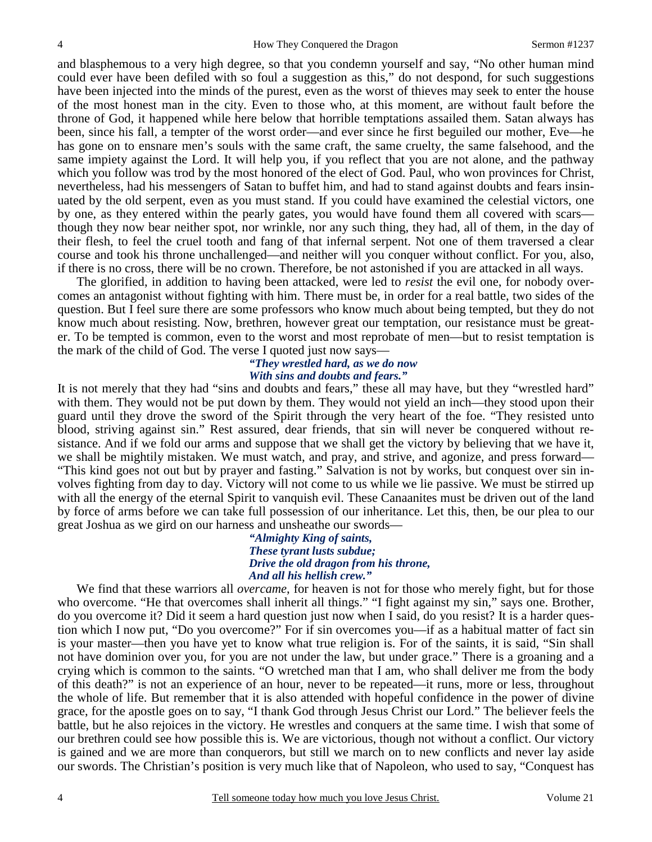and blasphemous to a very high degree, so that you condemn yourself and say, "No other human mind could ever have been defiled with so foul a suggestion as this," do not despond, for such suggestions have been injected into the minds of the purest, even as the worst of thieves may seek to enter the house of the most honest man in the city. Even to those who, at this moment, are without fault before the throne of God, it happened while here below that horrible temptations assailed them. Satan always has been, since his fall, a tempter of the worst order—and ever since he first beguiled our mother, Eve—he has gone on to ensnare men's souls with the same craft, the same cruelty, the same falsehood, and the same impiety against the Lord. It will help you, if you reflect that you are not alone, and the pathway which you follow was trod by the most honored of the elect of God. Paul, who won provinces for Christ, nevertheless, had his messengers of Satan to buffet him, and had to stand against doubts and fears insinuated by the old serpent, even as you must stand. If you could have examined the celestial victors, one by one, as they entered within the pearly gates, you would have found them all covered with scars though they now bear neither spot, nor wrinkle, nor any such thing, they had, all of them, in the day of their flesh, to feel the cruel tooth and fang of that infernal serpent. Not one of them traversed a clear course and took his throne unchallenged—and neither will you conquer without conflict. For you, also, if there is no cross, there will be no crown. Therefore, be not astonished if you are attacked in all ways.

 The glorified, in addition to having been attacked, were led to *resist* the evil one, for nobody overcomes an antagonist without fighting with him. There must be, in order for a real battle, two sides of the question. But I feel sure there are some professors who know much about being tempted, but they do not know much about resisting. Now, brethren, however great our temptation, our resistance must be greater. To be tempted is common, even to the worst and most reprobate of men—but to resist temptation is the mark of the child of God. The verse I quoted just now says—

#### *"They wrestled hard, as we do now With sins and doubts and fears."*

It is not merely that they had "sins and doubts and fears," these all may have, but they "wrestled hard" with them. They would not be put down by them. They would not yield an inch—they stood upon their guard until they drove the sword of the Spirit through the very heart of the foe. "They resisted unto blood, striving against sin." Rest assured, dear friends, that sin will never be conquered without resistance. And if we fold our arms and suppose that we shall get the victory by believing that we have it, we shall be mightily mistaken. We must watch, and pray, and strive, and agonize, and press forward— "This kind goes not out but by prayer and fasting." Salvation is not by works, but conquest over sin involves fighting from day to day. Victory will not come to us while we lie passive. We must be stirred up with all the energy of the eternal Spirit to vanquish evil. These Canaanites must be driven out of the land by force of arms before we can take full possession of our inheritance. Let this, then, be our plea to our great Joshua as we gird on our harness and unsheathe our swords—

> *"Almighty King of saints, These tyrant lusts subdue; Drive the old dragon from his throne, And all his hellish crew."*

We find that these warriors all *overcame*, for heaven is not for those who merely fight, but for those who overcome. "He that overcomes shall inherit all things." "I fight against my sin," says one. Brother, do you overcome it? Did it seem a hard question just now when I said, do you resist? It is a harder question which I now put, "Do you overcome?" For if sin overcomes you—if as a habitual matter of fact sin is your master—then you have yet to know what true religion is. For of the saints, it is said, "Sin shall not have dominion over you, for you are not under the law, but under grace." There is a groaning and a crying which is common to the saints. "O wretched man that I am, who shall deliver me from the body of this death?" is not an experience of an hour, never to be repeated—it runs, more or less, throughout the whole of life. But remember that it is also attended with hopeful confidence in the power of divine grace, for the apostle goes on to say, "I thank God through Jesus Christ our Lord." The believer feels the battle, but he also rejoices in the victory. He wrestles and conquers at the same time. I wish that some of our brethren could see how possible this is. We are victorious, though not without a conflict. Our victory is gained and we are more than conquerors, but still we march on to new conflicts and never lay aside our swords. The Christian's position is very much like that of Napoleon, who used to say, "Conquest has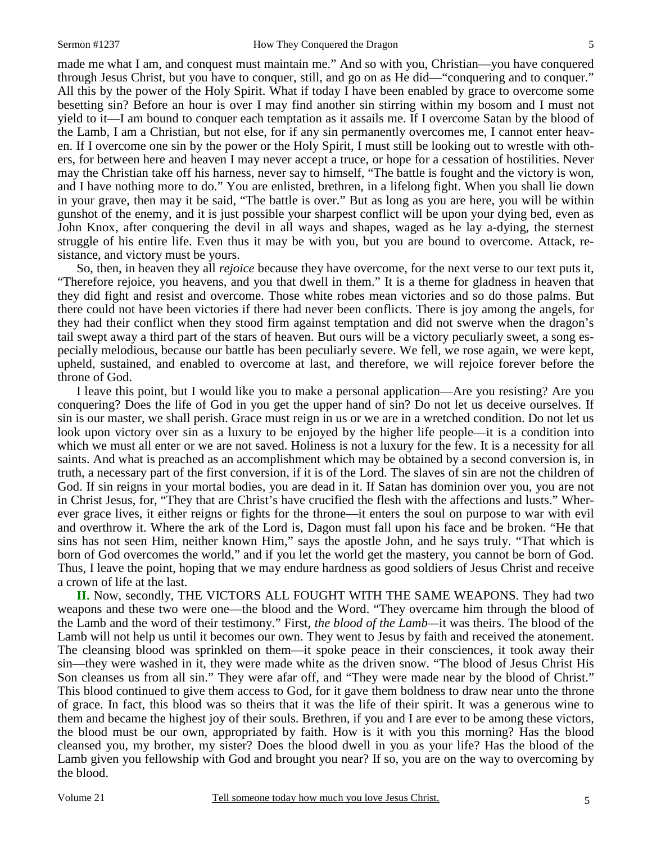5

made me what I am, and conquest must maintain me." And so with you, Christian—you have conquered through Jesus Christ, but you have to conquer, still, and go on as He did—"conquering and to conquer." All this by the power of the Holy Spirit. What if today I have been enabled by grace to overcome some besetting sin? Before an hour is over I may find another sin stirring within my bosom and I must not yield to it—I am bound to conquer each temptation as it assails me. If I overcome Satan by the blood of the Lamb, I am a Christian, but not else, for if any sin permanently overcomes me, I cannot enter heaven. If I overcome one sin by the power or the Holy Spirit, I must still be looking out to wrestle with others, for between here and heaven I may never accept a truce, or hope for a cessation of hostilities. Never may the Christian take off his harness, never say to himself, "The battle is fought and the victory is won, and I have nothing more to do." You are enlisted, brethren, in a lifelong fight. When you shall lie down in your grave, then may it be said, "The battle is over." But as long as you are here, you will be within gunshot of the enemy, and it is just possible your sharpest conflict will be upon your dying bed, even as John Knox, after conquering the devil in all ways and shapes, waged as he lay a-dying, the sternest struggle of his entire life. Even thus it may be with you, but you are bound to overcome. Attack, resistance, and victory must be yours.

 So, then, in heaven they all *rejoice* because they have overcome, for the next verse to our text puts it, "Therefore rejoice, you heavens, and you that dwell in them." It is a theme for gladness in heaven that they did fight and resist and overcome. Those white robes mean victories and so do those palms. But there could not have been victories if there had never been conflicts. There is joy among the angels, for they had their conflict when they stood firm against temptation and did not swerve when the dragon's tail swept away a third part of the stars of heaven. But ours will be a victory peculiarly sweet, a song especially melodious, because our battle has been peculiarly severe. We fell, we rose again, we were kept, upheld, sustained, and enabled to overcome at last, and therefore, we will rejoice forever before the throne of God.

 I leave this point, but I would like you to make a personal application—Are you resisting? Are you conquering? Does the life of God in you get the upper hand of sin? Do not let us deceive ourselves. If sin is our master, we shall perish. Grace must reign in us or we are in a wretched condition. Do not let us look upon victory over sin as a luxury to be enjoyed by the higher life people—it is a condition into which we must all enter or we are not saved. Holiness is not a luxury for the few. It is a necessity for all saints. And what is preached as an accomplishment which may be obtained by a second conversion is, in truth, a necessary part of the first conversion, if it is of the Lord. The slaves of sin are not the children of God. If sin reigns in your mortal bodies, you are dead in it. If Satan has dominion over you, you are not in Christ Jesus, for, "They that are Christ's have crucified the flesh with the affections and lusts." Wherever grace lives, it either reigns or fights for the throne—it enters the soul on purpose to war with evil and overthrow it. Where the ark of the Lord is, Dagon must fall upon his face and be broken. "He that sins has not seen Him, neither known Him," says the apostle John, and he says truly. "That which is born of God overcomes the world," and if you let the world get the mastery, you cannot be born of God. Thus, I leave the point, hoping that we may endure hardness as good soldiers of Jesus Christ and receive a crown of life at the last.

**II.** Now, secondly, THE VICTORS ALL FOUGHT WITH THE SAME WEAPONS. They had two weapons and these two were one—the blood and the Word. "They overcame him through the blood of the Lamb and the word of their testimony." First, *the blood of the Lamb—*it was theirs. The blood of the Lamb will not help us until it becomes our own. They went to Jesus by faith and received the atonement. The cleansing blood was sprinkled on them—it spoke peace in their consciences, it took away their sin—they were washed in it, they were made white as the driven snow. "The blood of Jesus Christ His Son cleanses us from all sin." They were afar off, and "They were made near by the blood of Christ." This blood continued to give them access to God, for it gave them boldness to draw near unto the throne of grace. In fact, this blood was so theirs that it was the life of their spirit. It was a generous wine to them and became the highest joy of their souls. Brethren, if you and I are ever to be among these victors, the blood must be our own, appropriated by faith. How is it with you this morning? Has the blood cleansed you, my brother, my sister? Does the blood dwell in you as your life? Has the blood of the Lamb given you fellowship with God and brought you near? If so, you are on the way to overcoming by the blood.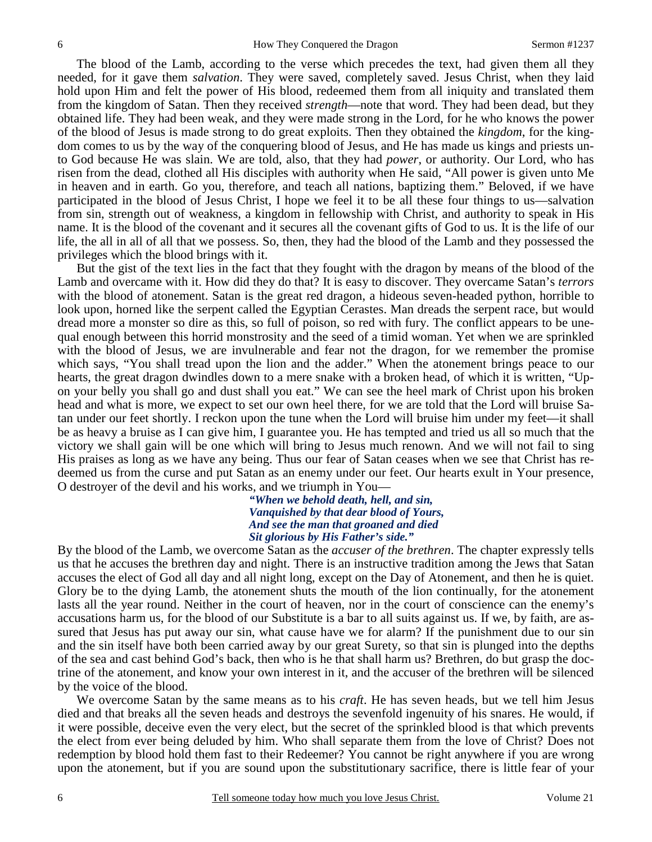The blood of the Lamb, according to the verse which precedes the text, had given them all they needed, for it gave them *salvation*. They were saved, completely saved. Jesus Christ, when they laid hold upon Him and felt the power of His blood, redeemed them from all iniquity and translated them from the kingdom of Satan. Then they received *strength*—note that word. They had been dead, but they obtained life. They had been weak, and they were made strong in the Lord, for he who knows the power of the blood of Jesus is made strong to do great exploits. Then they obtained the *kingdom*, for the kingdom comes to us by the way of the conquering blood of Jesus, and He has made us kings and priests unto God because He was slain. We are told, also, that they had *power*, or authority. Our Lord, who has risen from the dead, clothed all His disciples with authority when He said, "All power is given unto Me in heaven and in earth. Go you, therefore, and teach all nations, baptizing them." Beloved, if we have participated in the blood of Jesus Christ, I hope we feel it to be all these four things to us—salvation from sin, strength out of weakness, a kingdom in fellowship with Christ, and authority to speak in His name. It is the blood of the covenant and it secures all the covenant gifts of God to us. It is the life of our life, the all in all of all that we possess. So, then, they had the blood of the Lamb and they possessed the privileges which the blood brings with it.

 But the gist of the text lies in the fact that they fought with the dragon by means of the blood of the Lamb and overcame with it. How did they do that? It is easy to discover. They overcame Satan's *terrors*  with the blood of atonement. Satan is the great red dragon, a hideous seven-headed python, horrible to look upon, horned like the serpent called the Egyptian Cerastes. Man dreads the serpent race, but would dread more a monster so dire as this, so full of poison, so red with fury. The conflict appears to be unequal enough between this horrid monstrosity and the seed of a timid woman. Yet when we are sprinkled with the blood of Jesus, we are invulnerable and fear not the dragon, for we remember the promise which says, "You shall tread upon the lion and the adder." When the atonement brings peace to our hearts, the great dragon dwindles down to a mere snake with a broken head, of which it is written, "Upon your belly you shall go and dust shall you eat." We can see the heel mark of Christ upon his broken head and what is more, we expect to set our own heel there, for we are told that the Lord will bruise Satan under our feet shortly. I reckon upon the tune when the Lord will bruise him under my feet—it shall be as heavy a bruise as I can give him, I guarantee you. He has tempted and tried us all so much that the victory we shall gain will be one which will bring to Jesus much renown. And we will not fail to sing His praises as long as we have any being. Thus our fear of Satan ceases when we see that Christ has redeemed us from the curse and put Satan as an enemy under our feet. Our hearts exult in Your presence, O destroyer of the devil and his works, and we triumph in You—

> *"When we behold death, hell, and sin, Vanquished by that dear blood of Yours, And see the man that groaned and died Sit glorious by His Father's side."*

By the blood of the Lamb, we overcome Satan as the *accuser of the brethren*. The chapter expressly tells us that he accuses the brethren day and night. There is an instructive tradition among the Jews that Satan accuses the elect of God all day and all night long, except on the Day of Atonement, and then he is quiet. Glory be to the dying Lamb, the atonement shuts the mouth of the lion continually, for the atonement lasts all the year round. Neither in the court of heaven, nor in the court of conscience can the enemy's accusations harm us, for the blood of our Substitute is a bar to all suits against us. If we, by faith, are assured that Jesus has put away our sin, what cause have we for alarm? If the punishment due to our sin and the sin itself have both been carried away by our great Surety, so that sin is plunged into the depths of the sea and cast behind God's back, then who is he that shall harm us? Brethren, do but grasp the doctrine of the atonement, and know your own interest in it, and the accuser of the brethren will be silenced by the voice of the blood.

 We overcome Satan by the same means as to his *craft*. He has seven heads, but we tell him Jesus died and that breaks all the seven heads and destroys the sevenfold ingenuity of his snares. He would, if it were possible, deceive even the very elect, but the secret of the sprinkled blood is that which prevents the elect from ever being deluded by him. Who shall separate them from the love of Christ? Does not redemption by blood hold them fast to their Redeemer? You cannot be right anywhere if you are wrong upon the atonement, but if you are sound upon the substitutionary sacrifice, there is little fear of your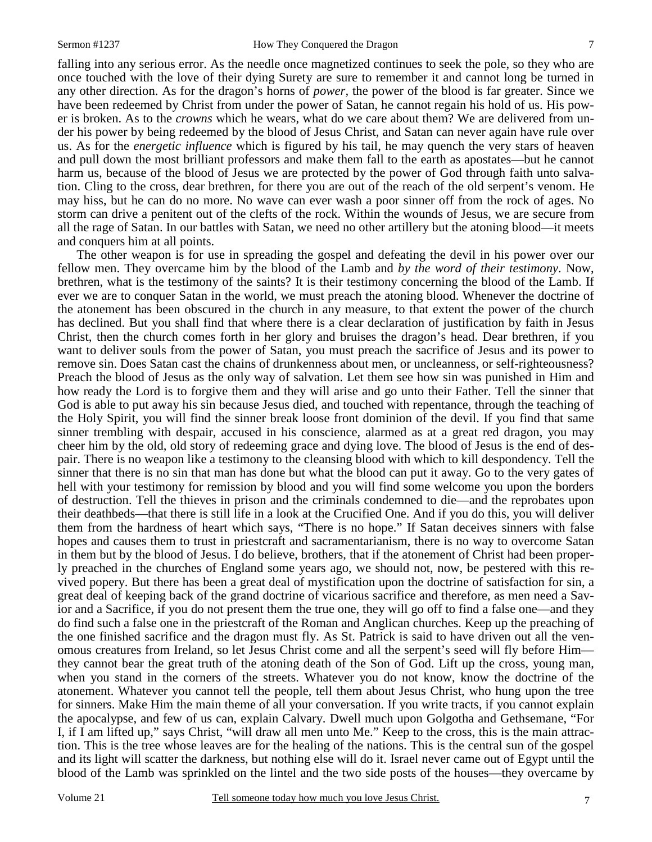falling into any serious error. As the needle once magnetized continues to seek the pole, so they who are once touched with the love of their dying Surety are sure to remember it and cannot long be turned in any other direction. As for the dragon's horns of *power,* the power of the blood is far greater. Since we have been redeemed by Christ from under the power of Satan, he cannot regain his hold of us. His power is broken. As to the *crowns* which he wears, what do we care about them? We are delivered from under his power by being redeemed by the blood of Jesus Christ, and Satan can never again have rule over us. As for the *energetic influence* which is figured by his tail, he may quench the very stars of heaven and pull down the most brilliant professors and make them fall to the earth as apostates—but he cannot harm us, because of the blood of Jesus we are protected by the power of God through faith unto salvation. Cling to the cross, dear brethren, for there you are out of the reach of the old serpent's venom. He may hiss, but he can do no more. No wave can ever wash a poor sinner off from the rock of ages. No storm can drive a penitent out of the clefts of the rock. Within the wounds of Jesus, we are secure from all the rage of Satan. In our battles with Satan, we need no other artillery but the atoning blood—it meets and conquers him at all points.

 The other weapon is for use in spreading the gospel and defeating the devil in his power over our fellow men. They overcame him by the blood of the Lamb and *by the word of their testimony*. Now, brethren, what is the testimony of the saints? It is their testimony concerning the blood of the Lamb. If ever we are to conquer Satan in the world, we must preach the atoning blood. Whenever the doctrine of the atonement has been obscured in the church in any measure, to that extent the power of the church has declined. But you shall find that where there is a clear declaration of justification by faith in Jesus Christ, then the church comes forth in her glory and bruises the dragon's head. Dear brethren, if you want to deliver souls from the power of Satan, you must preach the sacrifice of Jesus and its power to remove sin. Does Satan cast the chains of drunkenness about men, or uncleanness, or self-righteousness? Preach the blood of Jesus as the only way of salvation. Let them see how sin was punished in Him and how ready the Lord is to forgive them and they will arise and go unto their Father. Tell the sinner that God is able to put away his sin because Jesus died, and touched with repentance, through the teaching of the Holy Spirit, you will find the sinner break loose front dominion of the devil. If you find that same sinner trembling with despair, accused in his conscience, alarmed as at a great red dragon, you may cheer him by the old, old story of redeeming grace and dying love. The blood of Jesus is the end of despair. There is no weapon like a testimony to the cleansing blood with which to kill despondency. Tell the sinner that there is no sin that man has done but what the blood can put it away. Go to the very gates of hell with your testimony for remission by blood and you will find some welcome you upon the borders of destruction. Tell the thieves in prison and the criminals condemned to die—and the reprobates upon their deathbeds—that there is still life in a look at the Crucified One. And if you do this, you will deliver them from the hardness of heart which says, "There is no hope." If Satan deceives sinners with false hopes and causes them to trust in priestcraft and sacramentarianism, there is no way to overcome Satan in them but by the blood of Jesus. I do believe, brothers, that if the atonement of Christ had been properly preached in the churches of England some years ago, we should not, now, be pestered with this revived popery. But there has been a great deal of mystification upon the doctrine of satisfaction for sin, a great deal of keeping back of the grand doctrine of vicarious sacrifice and therefore, as men need a Savior and a Sacrifice, if you do not present them the true one, they will go off to find a false one—and they do find such a false one in the priestcraft of the Roman and Anglican churches. Keep up the preaching of the one finished sacrifice and the dragon must fly. As St. Patrick is said to have driven out all the venomous creatures from Ireland, so let Jesus Christ come and all the serpent's seed will fly before Him they cannot bear the great truth of the atoning death of the Son of God. Lift up the cross, young man, when you stand in the corners of the streets. Whatever you do not know, know the doctrine of the atonement. Whatever you cannot tell the people, tell them about Jesus Christ, who hung upon the tree for sinners. Make Him the main theme of all your conversation. If you write tracts, if you cannot explain the apocalypse, and few of us can, explain Calvary. Dwell much upon Golgotha and Gethsemane, "For I, if I am lifted up," says Christ, "will draw all men unto Me." Keep to the cross, this is the main attraction. This is the tree whose leaves are for the healing of the nations. This is the central sun of the gospel and its light will scatter the darkness, but nothing else will do it. Israel never came out of Egypt until the blood of the Lamb was sprinkled on the lintel and the two side posts of the houses—they overcame by